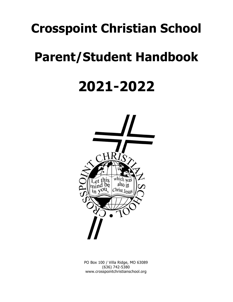# **Crosspoint Christian School**

# **Parent/Student Handbook**

# **2021-2022**



PO Box 100 / Villa Ridge, MO 63089 (636) 742-5380 www.crosspointchristianschool.org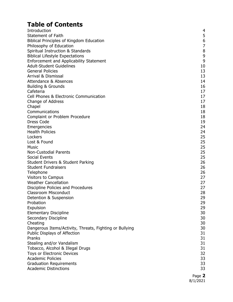# **Table of Contents**

| Introduction                                            | 4                |
|---------------------------------------------------------|------------------|
| Statement of Faith                                      | 5                |
| Biblical Principles of Kingdom Education                | $\boldsymbol{6}$ |
| Philosophy of Education                                 | $\overline{7}$   |
| Spiritual Instruction & Standards                       | $\, 8$           |
| <b>Biblical Lifestyle Expectations</b>                  | 9                |
| Enforcement and Applicability Statement                 | 9                |
| <b>Adult-Student Guidelines</b>                         | 10               |
| <b>General Policies</b>                                 | 13               |
| <b>Arrival &amp; Dismissal</b>                          | 13               |
| <b>Attendance &amp; Absences</b>                        | 14               |
| <b>Building &amp; Grounds</b>                           | 16               |
| Cafeteria                                               | 17               |
| Cell Phones & Electronic Communication                  | 17               |
| Change of Address                                       | 17               |
| Chapel                                                  | 18               |
| Communications                                          | 18               |
| Complaint or Problem Procedure                          | 18               |
| Dress Code                                              | 19               |
| Emergencies                                             | 24               |
| <b>Health Policies</b>                                  | 24               |
| Lockers                                                 | 25               |
| Lost & Found<br><b>Music</b>                            | 25<br>25         |
| <b>Non-Custodial Parents</b>                            | 25               |
| Social Events                                           | 25               |
| <b>Student Drivers &amp; Student Parking</b>            | 26               |
| <b>Student Fundraisers</b>                              | 26               |
| Telephone                                               | 26               |
| <b>Visitors to Campus</b>                               | 27               |
| <b>Weather Cancellation</b>                             | 27               |
| Discipline Policies and Procedures                      | 27               |
| <b>Classroom Misconduct</b>                             | 28               |
| Detention & Suspension                                  | 29               |
| Probation                                               | 29               |
| Expulsion                                               | 29               |
| <b>Elementary Discipline</b>                            | 30               |
| Secondary Discipline                                    | 30               |
| Cheating                                                | 30               |
| Dangerous Items/Activity, Threats, Fighting or Bullying | 30               |
| Public Displays of Affection                            | 31               |
| Pranks                                                  | 31               |
| Stealing and/or Vandalism                               | 31               |
| Tobacco, Alcohol & Illegal Drugs                        | 31               |
| Toys or Electronic Devices                              | 32               |
| <b>Academic Policies</b>                                | 33               |
| <b>Graduation Requirements</b>                          | 33               |
| <b>Academic Distinctions</b>                            | 33               |
|                                                         | ר ההח            |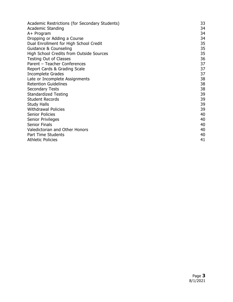| Academic Restrictions (for Secondary Students) | 33 |
|------------------------------------------------|----|
| <b>Academic Standing</b>                       | 34 |
| A+ Program                                     | 34 |
| Dropping or Adding a Course                    | 34 |
| Dual Enrollment for High School Credit         | 35 |
| Guidance & Counseling                          | 35 |
| High School Credits from Outside Sources       | 35 |
| <b>Testing Out of Classes</b>                  | 36 |
| Parent - Teacher Conferences                   | 37 |
| Report Cards & Grading Scale                   | 37 |
| Incomplete Grades                              | 37 |
| Late or Incomplete Assignments                 | 38 |
| <b>Retention Guidelines</b>                    | 38 |
| <b>Secondary Tests</b>                         | 38 |
| <b>Standardized Testing</b>                    | 39 |
| <b>Student Records</b>                         | 39 |
| <b>Study Halls</b>                             | 39 |
| <b>Withdrawal Policies</b>                     | 39 |
| <b>Senior Policies</b>                         | 40 |
| Senior Privileges                              | 40 |
| <b>Senior Finals</b>                           | 40 |
| Valedictorian and Other Honors                 | 40 |
| <b>Part Time Students</b>                      | 40 |
| <b>Athletic Policies</b>                       | 41 |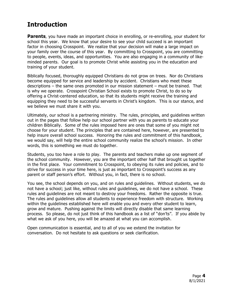# **Introduction**

**Parents**, you have made an important choice in enrolling, or re-enrolling, your student for school this year. We know that your desire to see your child succeed is an important factor in choosing Crosspoint. We realize that your decision will make a large impact on your family over the course of this year. By committing to Crosspoint, you are committing to people, events, ideas, and opportunities. You are also engaging in a community of likeminded parents. Our goal is to promote Christ while assisting you in the education and training of your student.

Biblically focused, thoroughly equipped Christians do not grow on trees. Nor do Christians become equipped for service and leadership by accident. Christians who meet these descriptions – the same ones promoted in our mission statement – must be trained. That is why we operate. Crosspoint Christian School exists to promote Christ, to do so by offering a Christ-centered education, so that its students might receive the training and equipping they need to be successful servants in Christ's kingdom. This is our stance, and we believe we must share it with you.

Ultimately, our school is a partnering ministry. The rules, principles, and guidelines written out in the pages that follow help our school partner with you as parents to educate your children Biblically. Some of the rules imposed here are ones that some of you might not choose for your student. The principles that are contained here, however, are presented to help insure overall school success. Honoring the rules and commitment of this handbook, we would say, will help the entire school community realize the school's mission. In other words, this is something we must do together.

Students, you too have a role to play. The parents and teachers make up one segment of the school community. However, you are the important other half that brought us together in the first place. Your commitment to Crosspoint, to obeying its rules and policies, and to strive for success in your time here, is just as important to Crosspoint's success as any parent or staff person's effort. Without you, in fact, there is no school.

You see, the school depends on you, and on rules and guidelines. Without students, we do not have a school; just like, without rules and guidelines, we do not have a school. These rules and guidelines are not meant to destroy your freedoms. Rather the opposite is true. The rules and guidelines allow all students to experience freedom with structure. Working within the guidelines established here will enable you and every other student to learn, grow and mature. Pushing against the limits will directly disable that same learning process. So please, do not just think of this handbook as a list of "don'ts". If you abide by what we ask of you here, you will be amazed at what you can accomplish.

Open communication is essential, and to all of you we extend the invitation for conversation. Do not hesitate to ask questions or seek clarification.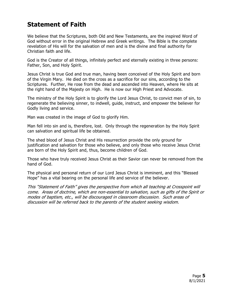# **Statement of Faith**

We believe that the Scriptures, both Old and New Testaments, are the inspired Word of God without error in the original Hebrew and Greek writings. The Bible is the complete revelation of His will for the salvation of men and is the divine and final authority for Christian faith and life.

God is the Creator of all things, infinitely perfect and eternally existing in three persons: Father, Son, and Holy Spirit.

Jesus Christ is true God and true man, having been conceived of the Holy Spirit and born of the Virgin Mary. He died on the cross as a sacrifice for our sins, according to the Scriptures. Further, He rose from the dead and ascended into Heaven, where He sits at the right hand of the Majesty on High. He is now our High Priest and Advocate.

The ministry of the Holy Spirit is to glorify the Lord Jesus Christ, to convict men of sin, to regenerate the believing sinner, to indwell, guide, instruct, and empower the believer for Godly living and service.

Man was created in the image of God to glorify Him.

Man fell into sin and is, therefore, lost. Only through the regeneration by the Holy Spirit can salvation and spiritual life be obtained.

The shed blood of Jesus Christ and His resurrection provide the only ground for justification and salvation for those who believe, and only those who receive Jesus Christ are born of the Holy Spirit and, thus, become children of God.

Those who have truly received Jesus Christ as their Savior can never be removed from the hand of God.

The physical and personal return of our Lord Jesus Christ is imminent, and this "Blessed Hope" has a vital bearing on the personal life and service of the believer.

This "Statement of Faith" gives the perspective from which all teaching at Crosspoint will come. Areas of doctrine, which are non-essential to salvation, such as gifts of the Spirit or modes of baptism, etc., will be discouraged in classroom discussion. Such areas of discussion will be referred back to the parents of the student seeking wisdom.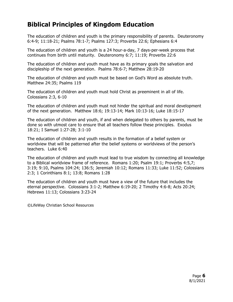# **Biblical Principles of Kingdom Education**

The education of children and youth is the primary responsibility of parents. Deuteronomy 6:4-9; 11:18-21; Psalms 78:1-7; Psalms 127:3; Proverbs 22:6; Ephesians 6:4

The education of children and youth is a 24 hour-a-day, 7 days-per-week process that continues from birth until maturity. Deuteronomy 6:7; 11:19; Proverbs 22:6

The education of children and youth must have as its primary goals the salvation and discipleship of the next generation. Psalms 78:6-7; Matthew 28:19-20

The education of children and youth must be based on God's Word as absolute truth. Matthew 24:35; Psalms 119

The education of children and youth must hold Christ as preeminent in all of life. Colossians 2:3, 6-10

The education of children and youth must not hinder the spiritual and moral development of the next generation. Matthew 18:6; 19:13-14; Mark 10:13-16; Luke 18:15-17

The education of children and youth, if and when delegated to others by parents, must be done so with utmost care to ensure that all teachers follow these principles. Exodus 18:21; I Samuel 1:27-28; 3:1-10

The education of children and youth results in the formation of a belief system or worldview that will be patterned after the belief systems or worldviews of the person's teachers. Luke 6:40

The education of children and youth must lead to true wisdom by connecting all knowledge to a Biblical worldview frame of reference. Romans 1:20; Psalm 19:1; Proverbs 4:5,7; 3:19; 9:10, Psalms 104:24; 136:5; Jeremiah 10:12; Romans 11:33; Luke 11:52; Colossians 2:3; 1 Corinthians 8:1; 13:8; Romans 1:28

The education of children and youth must have a view of the future that includes the eternal perspective. Colossians 3:1-2; Matthew 6:19-20; 2 Timothy 4:6-8; Acts 20:24; Hebrews 11:13; Colossians 3:23-24

©LifeWay Christian School Resources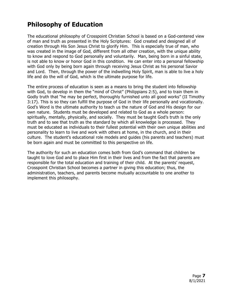# **Philosophy of Education**

The educational philosophy of Crosspoint Christian School is based on a God-centered view of man and truth as presented in the Holy Scriptures: God created and designed all of creation through His Son Jesus Christ to glorify Him. This is especially true of man, who was created in the image of God, different from all other creation, with the unique ability to know and respond to God personally and voluntarily. Man, being born in a sinful state, is not able to know or honor God in this condition. He can enter into a personal fellowship with God only by being born again through receiving Jesus Christ as his personal Savior and Lord. Then, through the power of the indwelling Holy Spirit, man is able to live a holy life and do the will of God, which is the ultimate purpose for life.

The entire process of education is seen as a means to bring the student into fellowship with God, to develop in them the "mind of Christ" (Philippians 2:5), and to train them in Godly truth that "he may be perfect, thoroughly furnished unto all good works" (II Timothy 3:17). This is so they can fulfill the purpose of God in their life personally and vocationally. God's Word is the ultimate authority to teach us the nature of God and His design for our own nature. Students must be developed and related to God as a whole person: spiritually, mentally, physically, and socially. They must be taught God's truth is the only truth and to see that truth as the standard by which all knowledge is processed. They must be educated as individuals to their fullest potential with their own unique abilities and personality to learn to live and work with others at home, in the church, and in their culture. The student's educational role models and guides (his parents and teachers) must be born again and must be committed to this perspective on life.

The authority for such an education comes both from God's command that children be taught to love God and to place Him first in their lives and from the fact that parents are responsible for the total education and training of their child. At the parents' request, Crosspoint Christian School becomes a partner in giving this education; thus, the administration, teachers, and parents become mutually accountable to one another to implement this philosophy.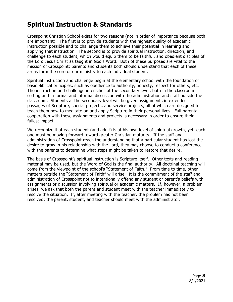# **Spiritual Instruction & Standards**

Crosspoint Christian School exists for two reasons (not in order of importance because both are important). The first is to provide students with the highest quality of academic instruction possible and to challenge them to achieve their potential in learning and applying that instruction. The second is to provide spiritual instruction, direction, and challenge to each student, which would equip them to be faithful, and obedient disciples of the Lord Jesus Christ as taught in God's Word. Both of these purposes are vital to the mission of Crosspoint; parents and students both should understand that each of these areas form the core of our ministry to each individual student.

Spiritual instruction and challenge begin at the elementary school with the foundation of basic Biblical principles, such as obedience to authority, honesty, respect for others, etc. The instruction and challenge intensifies at the secondary level, both in the classroom setting and in formal and informal discussion with the administration and staff outside the classroom. Students at the secondary level will be given assignments in extended passages of Scripture, special projects, and service projects, all of which are designed to teach them how to meditate on and apply Scripture in their personal lives. Full parental cooperation with these assignments and projects is necessary in order to ensure their fullest impact.

We recognize that each student (and adult) is at his own level of spiritual growth, yet, each one must be moving forward toward greater Christian maturity. If the staff and administration of Crosspoint reach the understanding that a particular student has lost the desire to grow in his relationship with the Lord, they may choose to conduct a conference with the parents to determine what steps might be taken to restore that desire.

The basis of Crosspoint's spiritual instruction is Scripture itself. Other texts and reading material may be used, but the Word of God is the final authority. All doctrinal teaching will come from the viewpoint of the school's "Statement of Faith." From time to time, other matters outside the "Statement of Faith" will arise. It is the commitment of the staff and administration of Crosspoint not to intentionally offend any student or parent's beliefs with assignments or discussion involving spiritual or academic matters. If, however, a problem arises, we ask that both the parent and student meet with the teacher immediately to resolve the situation. If, after meeting with the teacher, the problem has not been resolved; the parent, student, and teacher should meet with the administrator.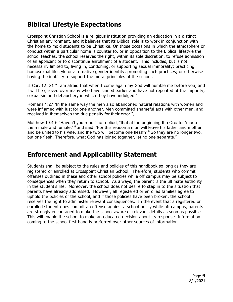# **Biblical Lifestyle Expectations**

Crosspoint Christian School is a religious institution providing an education in a distinct Christian environment, and it believes that its Biblical role is to work in conjunction with the home to mold students to be Christlike. On those occasions in which the atmosphere or conduct within a particular home is counter to, or in opposition to the Biblical lifestyle the school teaches, the school reserves the right, within its sole discretion, to refuse admission of an applicant or to discontinue enrollment of a student. This includes, but is not necessarily limited to, living in, condoning, or supporting sexual immorality: practicing homosexual lifestyle or alternative gender identity; promoting such practices; or otherwise having the inability to support the moral principles of the school.

II Cor. 12: 21 "I am afraid that when I come again my God will humble me before you, and I will be grieved over many who have sinned earlier and have not repented of the impurity, sexual sin and debauchery in which they have indulged."

Romans 1:27 "In the same way the men also abandoned natural relations with women and were inflamed with lust for one another. Men committed shameful acts with other men, and received in themselves the due penalty for their error.",

Matthew 19:4-6 "Haven't you read," he replied, "that at the beginning the Creator 'made them male and female,' 5 and said, 'For this reason a man will leave his father and mother and be united to his wife, and the two will become one flesh'?  $6$  So they are no longer two, but one flesh. Therefore, what God has joined together, let no one separate."

# **Enforcement and Applicability Statement**

Students shall be subject to the rules and policies of this handbook so long as they are registered or enrolled at Crosspoint Christian School. Therefore, students who commit offenses outlined in these and other school policies while off campus may be subject to consequences when they return to school. As always, the parent is the ultimate authority in the student's life. Moreover, the school does not desire to step in to the situation that parents have already addressed. However, all registered or enrolled families agree to uphold the policies of the school, and if those policies have been broken, the school reserves the right to administer relevant consequences. In the event that a registered or enrolled student does commit an offense against a school policy while off campus, parents are strongly encouraged to make the school aware of relevant details as soon as possible. This will enable the school to make an educated decision about its response. Information coming to the school first hand is preferred over other sources of information.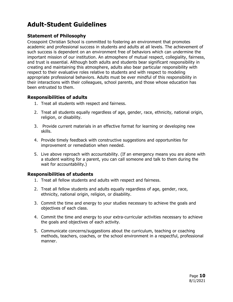# **Adult-Student Guidelines**

## **Statement of Philosophy**

Crosspoint Christian School is committed to fostering an environment that promotes academic and professional success in students and adults at all levels. The achievement of such success is dependent on an environment free of behaviors which can undermine the important mission of our institution. An atmosphere of mutual respect, collegiality, fairness, and trust is essential. Although both adults and students bear significant responsibility in creating and maintaining this atmosphere, adults also bear particular responsibility with respect to their evaluative roles relative to students and with respect to modeling appropriate professional behaviors. Adults must be ever mindful of this responsibility in their interactions with their colleagues, school parents, and those whose education has been entrusted to them.

#### **Responsibilities of adults**

- 1. Treat all students with respect and fairness.
- 2. Treat all students equally regardless of age, gender, race, ethnicity, national origin, religion, or disability.
- 3. Provide current materials in an effective format for learning or developing new skills.
- 4. Provide timely feedback with constructive suggestions and opportunities for improvement or remediation when needed.
- 5. Live above reproach with accountability. (If an emergency means you are alone with a student waiting for a parent, you can call someone and talk to them during the wait for accountability.)

#### **Responsibilities of students**

- 1. Treat all fellow students and adults with respect and fairness.
- 2. Treat all fellow students and adults equally regardless of age, gender, race, ethnicity, national origin, religion, or disability.
- 3. Commit the time and energy to your studies necessary to achieve the goals and objectives of each class.
- 4. Commit the time and energy to your extra-curricular activities necessary to achieve the goals and objectives of each activity.
- 5. Communicate concerns/suggestions about the curriculum, teaching or coaching methods, teachers, coaches, or the school environment in a respectful, professional manner.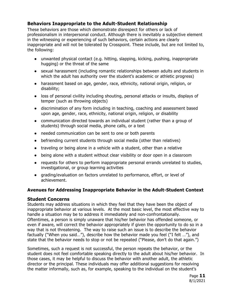# **Behaviors Inappropriate to the Adult-Student Relationship**

These behaviors are those which demonstrate disrespect for others or lack of professionalism in interpersonal conduct. Although there is inevitably a subjective element in the witnessing or experiencing of such behaviors, certain actions are clearly inappropriate and will not be tolerated by Crosspoint. These include, but are not limited to, the following:

- unwanted physical contact (e.g. hitting, slapping, kicking, pushing, inappropriate hugging) or the threat of the same
- sexual harassment (including romantic relationships between adults and students in which the adult has authority over the student's academic or athletic progress)
- harassment based on age, gender, race, ethnicity, national origin, religion, or disability;
- loss of personal civility including shouting, personal attacks or insults, displays of temper (such as throwing objects)
- discrimination of any form including in teaching, coaching and assessment based upon age, gender, race, ethnicity, national origin, religion, or disability
- communication directed towards an individual student (rather than a group of students) through social media, phone calls, or a text
- needed communication can be sent to one or both parents
- befriending current students through social media (other than relatives)
- traveling or being alone in a vehicle with a student, other than a relative
- being alone with a student without clear visibility or door open in a classroom
- requests for others to perform inappropriate personal errands unrelated to studies, investigational, or group learning activities
- grading/evaluation on factors unrelated to performance, effort, or level of achievement.

#### **Avenues for Addressing Inappropriate Behavior in the Adult-Student Context**

#### **Student Concerns**

Students may address situations in which they feel that they have been the object of inappropriate behavior at various levels. At the most basic level, the most effective way to handle a situation may be to address it immediately and non-confrontationally. Oftentimes, a person is simply unaware that his/her behavior has offended someone, or even if aware, will correct the behavior appropriately if given the opportunity to do so in a way that is not threatening. The way to raise such an issue is to describe the behavior factually ("When you said…"), describe how the behavior made you feel ("I felt …"), and state that the behavior needs to stop or not be repeated ("Please, don't do that again.")

Sometimes, such a request is not successful, the person repeats the behavior, or the student does not feel comfortable speaking directly to the adult about his/her behavior. In those cases, it may be helpful to discuss the behavior with another adult, the athletic director or the principal. These individuals may offer additional suggestions for resolving the matter informally, such as, for example, speaking to the individual on the student's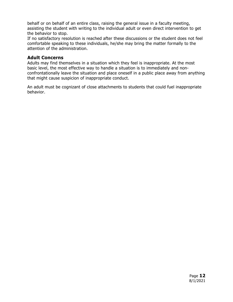behalf or on behalf of an entire class, raising the general issue in a faculty meeting, assisting the student with writing to the individual adult or even direct intervention to get the behavior to stop.

If no satisfactory resolution is reached after these discussions or the student does not feel comfortable speaking to these individuals, he/she may bring the matter formally to the attention of the administration.

#### **Adult Concerns**

Adults may find themselves in a situation which they feel is inappropriate. At the most basic level, the most effective way to handle a situation is to immediately and nonconfrontationally leave the situation and place oneself in a public place away from anything that might cause suspicion of inappropriate conduct.

An adult must be cognizant of close attachments to students that could fuel inappropriate behavior.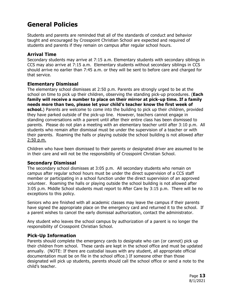# **General Policies**

Students and parents are reminded that all of the standards of conduct and behavior taught and encouraged by Crosspoint Christian School are expected and required of students and parents if they remain on campus after regular school hours.

## **Arrival Time**

Secondary students may arrive at 7:15 a.m. Elementary students with secondary siblings in CCS may also arrive at 7:15 a.m. Elementary students without secondary siblings in CCS should arrive no earlier than 7:45 a.m. or they will be sent to before care and charged for that service.

## **Elementary Dismissal**

The elementary school dismisses at 2:50 p.m. Parents are strongly urged to be at the school on time to pick up their children, observing the standing pick-up procedures. (**Each family will receive a number to place on their mirror at pick-up time. If a family needs more than two, please let your child's teacher know the first week of school.**) Parents are welcome to come into the building to pick up their children, provided they have parked outside of the pick-up line. However, teachers cannot engage in standing conversations with a parent until after their entire class has been dismissed to parents. Please do not plan a meeting with an elementary teacher until after 3:10 p.m. All students who remain after dismissal must be under the supervision of a teacher or with their parents. Roaming the halls or playing outside the school building is not allowed after 2:50 p.m.

Children who have been dismissed to their parents or designated driver are assumed to be in their care and will not be the responsibility of Crosspoint Christian School.

# **Secondary Dismissal**

The secondary school dismisses at 3:05 p.m. All secondary students who remain on campus after regular school hours must be under the direct supervision of a CCS staff member or participating in a school function under the direct supervision of an approved volunteer. Roaming the halls or playing outside the school building is not allowed after 3:05 p.m. Middle School students must report to After Care by 3:15 p.m. There will be no exceptions to this policy.

Seniors who are finished with all academic classes may leave the campus if their parents have signed the appropriate place on the emergency card and returned it to the school. If a parent wishes to cancel the early dismissal authorization, contact the administrator.

Any student who leaves the school campus by authorization of a parent is no longer the responsibility of Crosspoint Christian School.

# **Pick-Up Information**

Parents should complete the emergency cards to designate who can (or cannot) pick up their children from school. These cards are kept in the school office and must be updated annually. (NOTE: If there are custodial issues with any student, all appropriate official documentation must be on file in the school office.) If someone other than those designated will pick up students, parents should call the school office or send a note to the child's teacher.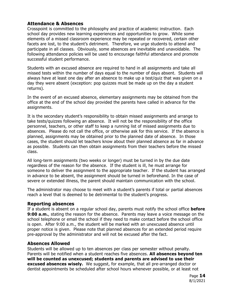## **Attendance & Absences**

Crosspoint is committed to the philosophy and practice of academic instruction. Each school day provides new learning experiences and opportunities to grow. While some elements of a missed classroom experience may be repeated or recovered, certain other facets are lost, to the student's detriment. Therefore, we urge students to attend and participate in all classes. Obviously, some absences are inevitable and unavoidable. The following attendance policies will be used to encourage faithful attendance and promote successful student performance.

Students with an excused absence are required to hand in all assignments and take all missed tests within the number of days equal to the number of days absent. Students will always have at least one day after an absence to make up a test/quiz that was given on a day they were absent (exception: pop quizzes must be made up on the day a student returns).

In the event of an excused absence, elementary assignments may be obtained from the office at the end of the school day provided the parents have called in advance for the assignments.

It is the secondary student's responsibility to obtain missed assignments and arrange to take tests/quizzes following an absence. It will not be the responsibility of the office personnel, teachers, or other staff to keep a running list of missed assignments due to absences. Please do not call the office, or otherwise ask for this service. If the absence is planned, assignments may be obtained prior to the planned date of absence. In those cases, the student should let teachers know about their planned absence as far in advance as possible. Students can then obtain assignments from their teachers before the missed class.

All long-term assignments (two weeks or longer) must be turned in by the due date regardless of the reason for the absence. If the student is ill, he must arrange for someone to deliver the assignment to the appropriate teacher. If the student has arranged in advance to be absent, the assignment should be turned in beforehand. In the case of severe or extended illness, the parent should maintain communication with the school.

The administrator may choose to meet with a student's parents if total or partial absences reach a level that is deemed to be detrimental to the student's progress.

#### **Reporting absences**

If a student is absent on a regular school day, parents must notify the school office **before 9:00 a.m.**, stating the reason for the absence. Parents may leave a voice message on the school telephone or email the school if they need to make contact before the school office is open. After 9:00 a.m., the student will be marked with an unexcused absence until proper notice is given. Please note that planned absences for an extended period require pre-approval by the administrator and will not be excused after the fact.

#### **Absences Allowed**

Students will be allowed up to ten absences per class per semester without penalty. Parents will be notified when a student reaches five absences. **All absences beyond ten will be counted as unexcused; students and parents are advised to use their excused absences wisely.** We suggest, for example, that all pre-arranged doctor or dentist appointments be scheduled after school hours whenever possible, or at least not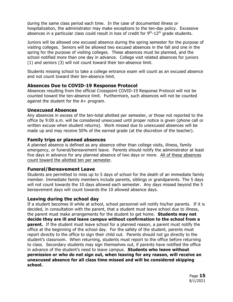during the same class period each time. In the case of documented illness or hospitalization, the administrator may make exceptions to the ten-day policy. Excessive absences in a particular class could result in loss of credit for  $9<sup>th</sup>$ -12<sup>th</sup> grade students.

Juniors will be allowed one excused absence during the spring semester for the purpose of visiting colleges. Seniors will be allowed two excused absences in the fall and one in the spring for the purpose of visiting colleges. These absences must be planned, and the school notified more than one day in advance. College visit related absences for juniors (1) and seniors (3) will not count toward their ten-absence limit.

Students missing school to take a college entrance exam will count as an excused absence and not count toward their ten-absence limit.

#### **Absences Due to COVID-19 Response Protocol**

Absences resulting from the official Crosspoint COVID-19 Response Protocol will not be counted toward the ten-absence limit. Furthermore, such absences will not be counted against the student for the A+ program.

#### **Unexcused Absences**

Any absences in excess of the ten-total allotted per semester, or those not reported to the office by 9:00 a.m. will be considered unexcused until proper notice is given (phone call or written excuse when student returns). Work missed due to unexcused absences will be made up and may receive 50% of the earned grade (at the discretion of the teacher).

#### **Family trips or planned absences**

A planned absence is defined as any absence other than college visits, illness, family emergency, or funeral/bereavement leave. Parents should notify the administrator at least five days in advance for any planned absence of two days or more. All of these absences count toward the allotted ten per semester.

#### **Funeral/Bereavement Leave**

Students are permitted to miss up to 5 days of school for the death of an immediate family member. Immediate family members include parents, siblings or grandparents. The 5 days will not count towards the 10 days allowed each semester. Any days missed beyond the 5 bereavement days will count towards the 10 allowed absence days.

#### **Leaving during the school day**

If a student becomes ill while at school, school personnel will notify his/her parents. If it is decided, in consultation with the parent, that a student must leave school due to illness, the parent must make arrangements for the student to get home. **Students may not decide they are ill and leave campus without confirmation to the school from a parent.** If the student must leave school for a planned reason, a parent must notify the office at the beginning of the school day. For the safety of the student, parents must report directly to the office to sign their child out. Parents should not go directly to the student's classroom. When returning, students must report to the office before returning to class. Secondary students may sign themselves out, if parents have notified the office in advance of the student's need to leave campus. **Students who leave without permission or who do not sign out, when leaving for any reason, will receive an unexcused absence for all class time missed and will be considered skipping school.**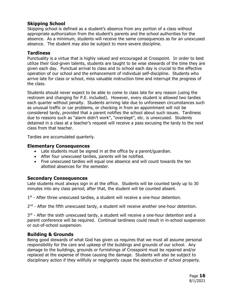# **Skipping School**

Skipping school is defined as a student's absence from any portion of a class without appropriate authorization from the student's parents and the school authorities for the absence. As a minimum, students will receive the same consequences as for an unexcused absence. The student may also be subject to more severe discipline.

#### **Tardiness**

Punctuality is a virtue that is highly valued and encouraged at Crosspoint. In order to best utilize their God-given talents, students are taught to be wise stewards of the time they are given each day. Punctual arrival to class and to school each day is crucial to the effective operation of our school and the enhancement of individual self-discipline. Students who arrive late for class or school, miss valuable instruction time and interrupt the progress of the class.

Students should never expect to be able to come to class late for any reason (using the restroom and changing for P.E. included). However, every student is allowed two tardies each quarter without penalty. Students arriving late due to unforeseen circumstances such as unusual traffic or car problems, or checking in from an appointment will not be considered tardy, provided that a parent notifies the school about such issues. Tardiness due to reasons such as "alarm didn't work", "overslept", etc. is unexcused. Students detained in a class at a teacher's request will receive a pass excusing the tardy to the next class from that teacher.

Tardies are accumulated quarterly.

#### **Elementary Consequences**

- Late students must be signed in at the office by a parent/guardian.
- After four unexcused tardies, parents will be notified.
- Five unexcused tardies will equal one absence and will count towards the ten allotted absences for the semester.

#### **Secondary Consequences**

Late students must always sign in at the office. Students will be counted tardy up to 30 minutes into any class period; after that, the student will be counted absent.

 $1<sup>st</sup>$  - After three unexcused tardies, a student will receive a one-hour detention.

 $2<sup>nd</sup>$  - After the fifth unexcused tardy, a student will receive another one-hour detention.

 $3<sup>rd</sup>$  - After the sixth unexcused tardy, a student will receive a one-hour detention and a parent conference will be required. Continual tardiness could result in in-school suspension or out-of-school suspension.

#### **Building & Grounds**

Being good stewards of what God has given us requires that we must all assume personal responsibility for the care and upkeep of the buildings and grounds of our school. Any damage to the buildings, grounds or furnishings of Crosspoint must be repaired and/or replaced at the expense of those causing the damage. Students will also be subject to disciplinary action if they willfully or negligently cause the destruction of school property.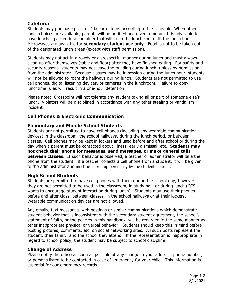# **Cafeteria**

Students may purchase pizza or á la carte items according to the schedule. When other lunch choices are available, parents will be notified and given a menu. It is advisable to have lunches packed in a container that will keep the lunch cool until the lunch hour. Microwaves are available for **secondary student use only**. Food is not to be taken out of the designated lunch areas (except with staff permission).

Students may not act in a rowdy or disrespectful manner during lunch and must always clean up after themselves (table and floor) after they have finished eating. For safety and security reasons, students may not leave the building during lunch, unless by permission from the administrator. Because classes may be in session during the lunch hour, students will not be allowed to roam the hallways during lunch. Students are not permitted to use cell phones, digital listening devices, or cameras in the lunchroom. Failure to obey lunchtime rules will result in a one-hour detention.

Please note**:** Crosspoint will not tolerate any student taking all or part of someone else's lunch. Violators will be disciplined in accordance with any other stealing or vandalism incident.

# **Cell Phones & Electronic Communication**

#### **Elementary and Middle School Students**

Students are not permitted to have cell phones (including any wearable communication devices) in the classroom, the school hallways, during the lunch period, or between classes. Cell phones may be kept in lockers and used before and after school or during the day when a parent must be contacted about illness, early dismissal, etc. **Students may not check their phone for messages, send messages, or make general calls between classes**. If such behavior is observed, a teacher or administrator will take the phone from the student. If a teacher collects a cell phone from a student, it will be given to the administrator and must be picked up personally by the student's parent.

#### **High School Students**

Students are permitted to have cell phones with them during the school day; however, they are not permitted to be used in the classroom, in study hall, or during lunch (CCS wants to encourage student interaction during lunch). Students may use their phones before and after class, between classes, in the school hallways or at their lockers. Wearable communication devices are not allowed.

Any emails, text messages, web postings or similar communications which demonstrate student behavior that is inconsistent with the secondary student agreement, the school's statement of faith, or the policies in this handbook, will be regarded in the same manner as other inappropriate physical or verbal behavior. Students should keep this in mind before posting pictures, comments, etc. on social networking sites. All such posts represent the student, their family, and the school they attend. If the representation is inappropriate in regard to school policy, the student may be subject to school discipline.

#### **Change of Address**

Please notify the office as soon as possible of any change in your address, phone number, or persons listed to be contacted in case of emergency for your child. This information is essential for our emergency records.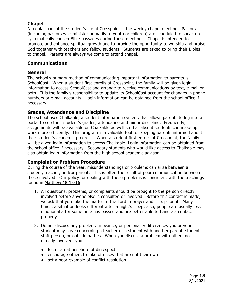# **Chapel**

A regular part of the student's life at Crosspoint is the weekly chapel meeting. Pastors (including pastors who minister primarily to youth or children) are scheduled to speak on systematically chosen Bible passages during these meetings. Chapel is intended to promote and enhance spiritual growth and to provide the opportunity to worship and praise God together with teachers and fellow students. Students are asked to bring their Bibles to chapel. Parents are always welcome to attend chapel.

#### **Communications**

#### **General**

The school's primary method of communicating important information to parents is SchoolCast. When a student first enrolls at Crosspoint, the family will be given login information to access SchoolCast and arrange to receive communications by text, e-mail or both. It is the family's responsibility to update its SchoolCast account for changes in phone numbers or e-mail accounts. Login information can be obtained from the school office if necessary.

#### **Grades, Attendance and Discipline**

The school uses Chalkable, a student information system, that allows parents to log into a portal to see their student's grades, attendance and minor discipline. Frequently, assignments will be available on Chalkable as well so that absent students can make up work more efficiently. This program is a valuable tool for keeping parents informed about their student's academic progress. When a student first enrolls at Crosspoint, the family will be given login information to access Chalkable. Login information can be obtained from the school office if necessary. Secondary students who would like access to Chalkable may also obtain login information from the high school academic advisor.

#### **Complaint or Problem Procedure**

During the course of the year, misunderstandings or problems can arise between a student, teacher, and/or parent. This is often the result of poor communication between those involved. Our policy for dealing with these problems is consistent with the teachings found in Matthew 18:15-16:

- 1. All questions, problems, or complaints should be brought to the person directly involved before anyone else is consulted or involved. Before this contact is made, we ask that you take the matter to the Lord in prayer and "sleep" on it. Many times, a situation looks different after a night's sleep; also, people are usually less emotional after some time has passed and are better able to handle a contact properly.
- 2. Do not discuss any problem, grievance, or personality differences you or your student may have concerning a teacher or a student with another parent, student, staff person, or outside parties. When you discuss a problem with others not directly involved, you:
	- foster an atmosphere of disrespect
	- encourage others to take offenses that are not their own
	- set a poor example of conflict resolution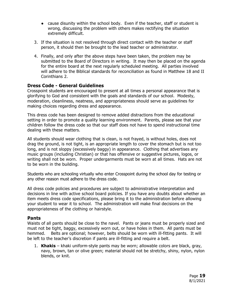- cause disunity within the school body. Even if the teacher, staff or student is wrong, discussing the problem with others makes rectifying the situation extremely difficult.
- 3. If the situation is not resolved through direct contact with the teacher or staff person, it should then be brought to the lead teacher or administrator.
- 4. Finally, and only after the above steps have been taken, the problem may be submitted to the Board of Directors in writing. It may then be placed on the agenda for the entire board at the next regularly scheduled meeting. All parties involved will adhere to the Biblical standards for reconciliation as found in Matthew 18 and II Corinthians 2.

#### **Dress Code - General Guidelines**

Crosspoint students are encouraged to present at all times a personal appearance that is glorifying to God and consistent with the goals and standards of our school. Modesty, moderation, cleanliness, neatness, and appropriateness should serve as guidelines for making choices regarding dress and appearance.

This dress code has been designed to remove added distractions from the educational setting in order to promote a quality learning environment. Parents, please see that your children follow the dress code so that our staff does not have to spend instructional time dealing with these matters.

All students should wear clothing that is clean, is not frayed, is without holes, does not drag the ground, is not tight, is an appropriate length to cover the stomach but is not too long, and is not sloppy (excessively baggy) in appearance. Clothing that advertises any music groups (including Christian) or that has offensive or suggestive pictures, logos, or writing shall not be worn. Proper undergarments must be worn at all times. Hats are not to be worn in the building.

Students who are schooling virtually who enter Crosspoint during the school day for testing or any other reason must adhere to the dress code.

All dress code policies and procedures are subject to administrative interpretation and decisions in line with active school board policies. If you have any doubts about whether an item meets dress code specifications, please bring it to the administration before allowing your student to wear it to school. The administration will make final decisions on the appropriateness of the clothing or hairstyle.

#### **Pants**

Waists of all pants should be close to the navel. Pants or jeans must be properly sized and must not be tight, baggy, excessively worn out, or have holes in them. All pants must be hemmed. Belts are optional; however, belts should be worn with ill-fitting pants. It will be left to the teacher's discretion if pants are ill-fitting and require a belt.

1. **Khakis** – khaki uniform-style pants may be worn; allowable colors are black, gray, navy, brown, tan or olive green; material should not be stretchy, shiny, nylon, nylon blends, or knit.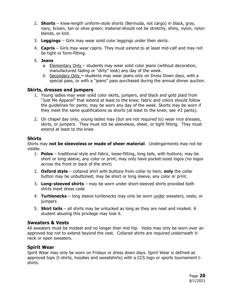- 2. **Shorts** knee-length uniform-style shorts (Bermuda, not cargo) in black, gray, navy, brown, tan or olive green; material should not be stretchy, shiny, nylon, nylon blends, or knit.
- 3. **Leggings** Girls may wear solid color leggings under their skirts.
- 4. **Capris** Girls may wear capris. They must extend to at least mid-calf and may not be tight or form-fitting.
- 5. **Jeans** 
	- a. Elementary Only students may wear solid color jeans (without decoration, manufactured fading or "dirty" look) any day of the week.
	- b. Secondary Only students may wear jeans only on Dress Down days, with a special pass, or with a "jeans" pass purchased during the annual dinner auction.

#### **Skirts, dresses and jumpers**

- 1. Young ladies may wear solid color skirts, jumpers, and black and gold plaid from "Just Me Apparel" that extend at least to the knee; fabric and colors should follow the guidelines for pants; may be worn any day of the week. Skorts may be worn if they meet the same qualifications as shorts (at least to the knee; see #2 pants).
- 2. On chapel day only, young ladies may (but are not required to) wear nice dresses, skirts, or jumpers. They must not be sleeveless, sheer, or tight fitting. They must extend at least to the knee.

#### **Shirts**

Shirts may **not be sleeveless or made of sheer material**. Undergarments may not be visible.

- 1. **Polos** traditional style and fabric, loose-fitting, long tails, with buttons; may be short or long sleeve, any color or print; may only have pocket-sized logos (no logos across the front or back of the shirt)
- 2. **Oxford style** collared shirt with buttons from collar to hem; **only** the collar button may be unbuttoned; may be short or long sleeve, any color or print.
- 3. **Long-sleeved shirts** may be worn under short-sleeved shirts provided both shirts meet dress code
- 4. **Turtlenecks** long sleeve turtlenecks may only be worn under sweaters, vests, or jumpers
- 5. **Shirt tails**  all shirts may be untucked as long as they are neat and modest. A student abusing this privilege may lose it.

#### **Sweaters & Vests**

All sweaters must be modest and no longer than mid hip. Vests may only be worn over an approved top not to extend beyond the vest. Collared shirts are required underneath Vneck or open sweaters.

#### **Spirit Wear**

Spirit Wear may only be worn on Fridays or dress down days. Spirit Wear is defined as approved tops (t-shirts, hoodies and sweatshirts) with a CCS logo or sports tournament tshirts.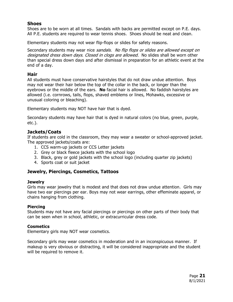#### **Shoes**

Shoes are to be worn at all times. Sandals with backs are permitted except on P.E. days. All P.E. students are required to wear tennis shoes. Shoes should be neat and clean.

Elementary students may not wear flip-flops or slides for safety reasons.

Secondary students may wear nice sandals. No flip flops or slides are allowed except on designated dress down days. Closed in clogs are allowed. No slides shall be worn other than special dress down days and after dismissal in preparation for an athletic event at the end of a day.

#### **Hair**

All students must have conservative hairstyles that do not draw undue attention. Boys may not wear their hair below the top of the collar in the back, or longer than the eyebrows or the middle of the ears. **No** facial hair is allowed. No faddish hairstyles are allowed (i.e. cornrows, tails, flops, shaved emblems or lines, Mohawks, excessive or unusual coloring or bleaching).

Elementary students may NOT have hair that is dyed.

Secondary students may have hair that is dyed in natural colors (no blue, green, purple, etc.).

#### **Jackets/Coats**

If students are cold in the classroom, they may wear a sweater or school-approved jacket. The approved jackets/coats are:

- 1. CCS warm-up jackets or CCS Letter jackets
- 2. Grey or black fleece jackets with the school logo
- 3. Black, grey or gold jackets with the school logo (including quarter zip jackets)
- 4. Sports coat or suit jacket

#### **Jewelry, Piercings, Cosmetics, Tattoos**

#### **Jewelry**

Girls may wear jewelry that is modest and that does not draw undue attention. Girls may have two ear piercings per ear. Boys may not wear earrings, other effeminate apparel, or chains hanging from clothing.

#### **Piercing**

Students may not have any facial piercings or piercings on other parts of their body that can be seen when in school, athletic, or extracurricular dress code.

#### **Cosmetics**

Elementary girls may NOT wear cosmetics.

Secondary girls may wear cosmetics in moderation and in an inconspicuous manner. If makeup is very obvious or distracting, it will be considered inappropriate and the student will be required to remove it.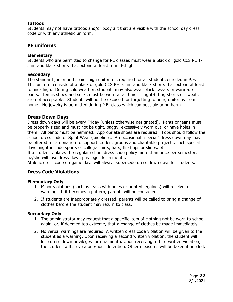#### **Tattoos**

Students may not have tattoos and/or body art that are visible with the school day dress code or with any athletic uniform.

#### **PE uniforms**

#### **Elementary**

Students who are permitted to change for PE classes must wear a black or gold CCS PE Tshirt and black shorts that extend at least to mid-thigh.

#### **Secondary**

The standard junior and senior high uniform is required for all students enrolled in P.E. This uniform consists of a black or gold CCS PE t-shirt and black shorts that extend at least to mid-thigh. During cold weather, students may also wear black sweats or warm-up pants. Tennis shoes and socks must be worn at all times. Tight-fitting shorts or sweats are not acceptable. Students will not be excused for forgetting to bring uniforms from home. No jewelry is permitted during P.E. class which can possibly bring harm.

#### **Dress Down Days**

Dress down days will be every Friday (unless otherwise designated). Pants or jeans must be properly sized and must not be tight, baggy, excessively worn out, or have holes in them. All pants must be hemmed. Appropriate shoes are required. Tops should follow the school dress code or Spirit Wear guidelines. An occasional "special" dress down day may be offered for a donation to support student groups and charitable projects; such special days might include sports or college shirts, hats, flip flops or slides, etc.

If a student violates the regular school dress code policy more than once per semester, he/she will lose dress down privileges for a month.

Athletic dress code on game days will always supersede dress down days for students.

#### **Dress Code Violations**

#### **Elementary Only**

- 1. Minor violations (such as jeans with holes or printed leggings) will receive a warning. If it becomes a pattern, parents will be contacted.
- 2. If students are inappropriately dressed, parents will be called to bring a change of clothes before the student may return to class.

#### **Secondary Only**

- 1. The administrator may request that a specific item of clothing not be worn to school again, or, if deemed too extreme, that a change of clothes be made immediately.
- 2. No verbal warnings are required. A written dress code violation will be given to the student as a warning. Upon receiving a second written violation, the student will lose dress down privileges for one month. Upon receiving a third written violation, the student will serve a one-hour detention. Other measures will be taken if needed.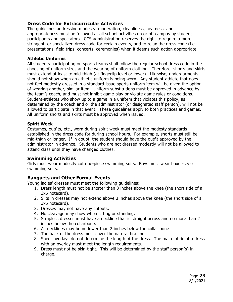## **Dress Code for Extracurricular Activities**

The guidelines addressing modesty, moderation, cleanliness, neatness, and appropriateness must be followed at all school activities on or off campus by student participants and spectators. CCS administration reserves the right to require a more stringent, or specialized dress code for certain events, and to relax the dress code (i.e. presentations, field trips, concerts, ceremonies) when it deems such action appropriate.

#### **Athletic Uniforms**

All students participating on sports teams shall follow the regular school dress code in the choosing of uniform sizes and the wearing of uniform clothing. Therefore, shorts and skirts must extend at least to mid-thigh (at fingertip level or lower). Likewise, undergarments should not show when an athletic uniform is being worn. Any student-athlete that does not feel modestly dressed in a standard-issue sports uniform item will be given the option of wearing another, similar item. Uniform substitutions must be approved in advance by the team's coach, and must not inhibit game play or violate game rules or conditions. Student-athletes who show up to a game in a uniform that violates this policy, as determined by the coach and or the administrator (or designated staff person), will not be allowed to participate in that event. These guidelines apply to both practices and games. All uniform shorts and skirts must be approved when issued.

#### **Spirit Week**

Costumes, outfits, etc., worn during spirit week must meet the modesty standards established in the dress code for during school hours. For example, shorts must still be mid-thigh or longer. If in doubt, the student should have the outfit approved by the administrator in advance. Students who are not dressed modestly will not be allowed to attend class until they have changed clothes.

#### **Swimming Activities**

Girls must wear modestly cut one-piece swimming suits. Boys must wear boxer-style swimming suits.

#### **Banquets and Other Formal Events**

Young ladies' dresses must meet the following guidelines:

- 1. Dress length must not be shorter than 3 inches above the knee (the short side of a 3x5 notecard).
- 2. Slits in dresses may not extend above 3 inches above the knee (the short side of a 3x5 notecard).
- 3. Dresses may not have any cutouts.
- 4. No cleavage may show when sitting or standing.
- 5. Strapless dresses must have a neckline that is straight across and no more than 2 inches below the collarbone.
- 6. All necklines may be no lower than 2 inches below the collar bone
- 7. The back of the dress must cover the natural bra line
- 8. Sheer overlays do not determine the length of the dress. The main fabric of a dress with an overlay must meet the length requirements.
- 9. Dress must not be skin-tight. This will be determined by the staff person(s) in charge.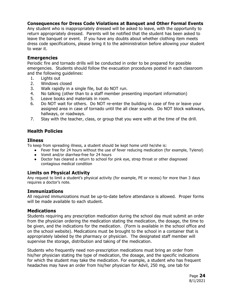#### **Consequences for Dress Code Violations at Banquet and Other Formal Events**

Any student who is inappropriately dressed will be asked to leave, with the opportunity to return appropriately dressed. Parents will be notified that the student has been asked to leave the banquet or event. If you have any doubts about whether clothing item meets dress code specifications, please bring it to the administration before allowing your student to wear it.

#### **Emergencies**

Periodic fire and tornado drills will be conducted in order to be prepared for possible emergencies. Students should follow the evacuation procedures posted in each classroom and the following guidelines:

- 1. Lights out
- 2. Windows closed
- 3. Walk rapidly in a single file, but do NOT run.
- 4. No talking (other than to a staff member presenting important information)
- 5. Leave books and materials in room.
- 6. Do NOT wait for others. Do NOT re-enter the building in case of fire or leave your assigned area in case of tornado until the all clear sounds. Do NOT block walkways, hallways, or roadways.
- 7. Stay with the teacher, class, or group that you were with at the time of the drill.

## **Health Policies**

#### **Illness**

To keep from spreading illness, a student should be kept home until he/she is:

- Fever free for 24 hours without the use of fever reducing medication (for example, Tylenol)
- Vomit and/or diarrhea-free for 24 hours
- Doctor has cleared a return to school for pink eye, strep throat or other diagnosed contagious medical condition

#### **Limits on Physical Activity**

Any request to limit a student's physical activity (for example, PE or recess) for more than 3 days requires a doctor's note.

#### **Immunizations**

All required immunizations must be up-to-date before attendance is allowed. Proper forms will be made available to each student.

#### **Medications**

Students requiring any prescription medication during the school day must submit an order from the physician ordering the medication stating the medication, the dosage, the time to be given, and the indications for the medication. (Form is available in the school office and on the school website). Medications must be brought to the school in a container that is appropriately labeled by the pharmacy or physician. The designated staff member will supervise the storage, distribution and taking of the medication.

Students who frequently need non-prescription medications must bring an order from his/her physician stating the type of medication, the dosage, and the specific indications for which the student may take the medication. For example, a student who has frequent headaches may have an order from his/her physician for Advil, 250 mg, one tab for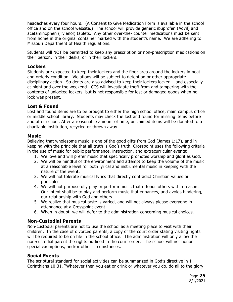headaches every four hours. (A Consent to Give Medication Form is available in the school office and on the school website.) The school will provide generic ibuprofen (Advil) and acetaminophen (Tylenol) tablets. Any other over-the- counter medications must be sent from home in the original container marked with the student's name. We are adhering to Missouri Department of Health regulations.

Students will NOT be permitted to keep any prescription or non-prescription medications on their person, in their desks, or in their lockers.

#### **Lockers**

Students are expected to keep their lockers and the floor area around the lockers in neat and orderly condition. Violations will be subject to detention or other appropriate disciplinary action. Students are also advised to keep their lockers locked – and especially at night and over the weekend. CCS will investigate theft from and tampering with the contents of unlocked lockers, but is not responsible for lost or damaged goods when no lock was present.

#### **Lost & Found**

Lost and found items are to be brought to either the high school office, main campus office or middle school library. Students may check the lost and found for missing items before and after school. After a reasonable amount of time, unclaimed items will be donated to a charitable institution, recycled or thrown away.

#### **Music**

Believing that wholesome music is one of the good gifts from God (James 1:17), and in keeping with the principle that all truth is God's truth, Crosspoint uses the following criteria in the use of music for public performance, instruction, and extracurricular events:

- 1. We love and will prefer music that specifically promotes worship and glorifies God.
- 2. We will be mindful of the environment and attempt to keep the volume of the music at a reasonable level for both lyrical and instrumental music in keeping with the nature of the event.
- 3. We will not tolerate musical lyrics that directly contradict Christian values or principles.
- 4. We will not purposefully play or perform music that offends others within reason. Our intent shall be to play and perform music that enhances, and avoids hindering, our relationship with God and others.
- 5. We realize that musical taste is varied, and will not always please everyone in attendance at a Crosspoint event.
- 6. When in doubt, we will defer to the administration concerning musical choices.

#### **Non-Custodial Parents**

Non-custodial parents are not to use the school as a meeting place to visit with their children. In the case of divorced parents, a copy of the court order stating visiting rights will be required to be on file in the school office. The administration will only allow the non-custodial parent the rights outlined in the court order. The school will not honor special exemptions, and/or other circumstances.

#### **Social Events**

The scriptural standard for social activities can be summarized in God's directive in 1 Corinthians 10:31, "Whatever then you eat or drink or whatever you do, do all to the glory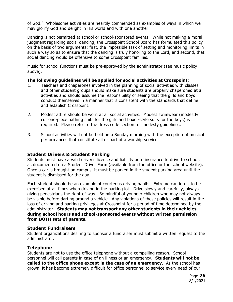of God." Wholesome activities are heartily commended as examples of ways in which we may glorify God and delight in His world and with one another.

Dancing is not permitted at school or school-sponsored events. While not making a moral judgment regarding social dancing, the Crosspoint School Board has formulated this policy on the basis of two arguments: first, the impossible task of setting and monitoring limits in such a way so as to ensure that the dancing is truly honoring to the Lord, and second, that social dancing would be offensive to some Crosspoint families.

Music for school functions must be pre-approved by the administrator (see music policy above).

#### **The following guidelines will be applied for social activities at Crosspoint:**

- 1. Teachers and chaperones involved in the planning of social activities with classes and other student groups should make sure students are properly chaperoned at all activities and should assume the responsibility of seeing that the girls and boys conduct themselves in a manner that is consistent with the standards that define and establish Crosspoint.
- 2. Modest attire should be worn at all social activities. Modest swimwear (modestly cut one-piece bathing suits for the girls and boxer-style suits for the boys) is required. Please refer to the dress code section for modesty guidelines.
- 3. School activities will not be held on a Sunday morning with the exception of musical performances that constitute all or part of a worship service.

#### **Student Drivers & Student Parking**

Students must have a valid driver's license and liability auto insurance to drive to school, as documented on a Student Driver Form (available from the office or the school website). Once a car is brought on campus, it must be parked in the student parking area until the student is dismissed for the day.

Each student should be an example of courteous driving habits. Extreme caution is to be exercised at all times when driving in the parking lot. Drive slowly and carefully, always giving pedestrians the right-of-way. Be mindful of younger children who may not always be visible before darting around a vehicle. Any violations of these policies will result in the loss of driving and parking privileges at Crosspoint for a period of time determined by the administrator. **Students may not transport any other students in their vehicles during school hours and school-sponsored events without written permission from BOTH sets of parents.** 

#### **Student Fundraisers**

Student organizations desiring to sponsor a fundraiser must submit a written request to the administrator.

#### **Telephone**

Students are not to use the office telephone without a compelling reason. School personnel will call parents in case of an illness or an emergency. **Students will not be called to the office phone except in the case of an emergency.** As the school has grown, it has become extremely difficult for office personnel to service every need of our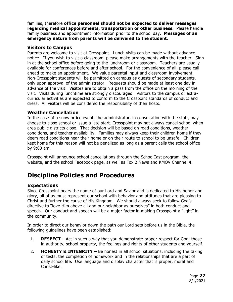families, therefore **office personnel should not be expected to deliver messages regarding medical appointments, transportation or other business.** Please handle family business and appointment information prior to the school day. **Messages of an emergency nature from parents will be delivered to the student**.

#### **Visitors to Campus**

Parents are welcome to visit at Crosspoint. Lunch visits can be made without advance notice. If you wish to visit a classroom, please make arrangements with the teacher. Sign in at the school office before going to the lunchroom or classroom. Teachers are usually available for conferences before and after school. For the convenience of all, please call ahead to make an appointment. We value parental input and classroom involvement. Non-Crosspoint students will be permitted on campus as guests of secondary students, only upon approval of the administrator. Requests should be made at least one day in advance of the visit. Visitors are to obtain a pass from the office on the morning of the visit. Visits during lunchtime are strongly discouraged. Visitors to the campus or extracurricular activities are expected to conform to the Crosspoint standards of conduct and dress. All visitors will be considered the responsibility of their hosts.

## **Weather Cancellation**

In the case of a snow or ice event, the administrator, in consultation with the staff, may choose to close school or issue a late start. Crosspoint may not always cancel school when area public districts close. That decision will be based on road conditions, weather conditions, and teacher availability. Families may always keep their children home if they deem road conditions near their home or on their route to school to be unsafe. Children kept home for this reason will not be penalized as long as a parent calls the school office by 9:00 am.

Crosspoint will announce school cancellations through the SchoolCast program, the website, and the school Facebook page, as well as Fox 2 News and KMOV Channel 4.

# **Discipline Policies and Procedures**

# **Expectations**

Since Crosspoint bears the name of our Lord and Savior and is dedicated to His honor and glory, all of us must represent our school with behavior and attitudes that are pleasing to Christ and further the cause of His Kingdom. We should always seek to follow God's directive to "love Him above all and our neighbor as ourselves" in both conduct and speech. Our conduct and speech will be a major factor in making Crosspoint a "light" in the community.

In order to direct our behavior down the path our Lord sets before us in the Bible, the following guidelines have been established:

- 1. **RESPECT** Act in such a way that you demonstrate proper respect for God, those in authority, school property, the feelings and rights of other students and yourself.
- 2. **HONESTY & INTEGRITY** Be honest in all school situations, including the taking of tests, the completion of homework and in the relationships that are a part of daily school life. Use language and display character that is proper, moral and Christ-like.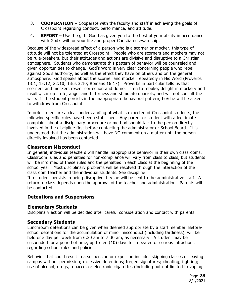- 3. **COOPERATION** Cooperate with the faculty and staff in achieving the goals of Crosspoint regarding conduct, performance, and attitude.
- 4. **EFFORT** Use the gifts God has given you to the best of your ability in accordance with God's will for your life and proper Christian stewardship.

Because of the widespread effect of a person who is a scorner or mocker, this type of attitude will not be tolerated at Crosspoint. People who are scorners and mockers may not be rule-breakers, but their attitudes and actions are divisive and disruptive to a Christian atmosphere. Students who demonstrate this pattern of behavior will be counseled and given opportunities to change. God's Word is very clear concerning people who rebel against God's authority, as well as the effect they have on others and on the general atmosphere. God speaks about the scorner and mocker repeatedly in His Word (Proverbs 13:1; 15:12; 22:10; Titus 3:10; Romans 16:17). Proverbs in particular tells us that scorners and mockers resent correction and do not listen to rebuke; delight in mockery and insults; stir up strife, anger and bitterness and stimulate quarrels; and will not consult the wise. If the student persists in the inappropriate behavioral pattern, he/she will be asked to withdraw from Crosspoint.

In order to ensure a clear understanding of what is expected of Crosspoint students, the following specific rules have been established. Any parent or student with a legitimate complaint about a disciplinary procedure or method should talk to the person directly involved in the discipline first before contacting the administrator or School Board. It is understood that the administration will have NO comment on a matter until the person directly involved has been contacted.

#### **Classroom Misconduct**

In general, individual teachers will handle inappropriate behavior in their own classrooms. Classroom rules and penalties for non-compliance will vary from class to class, but students will be informed of these rules and the penalties in each class at the beginning of the school year. Most disciplinary problems will be resolved through the interaction of the classroom teacher and the individual students. See discipline

If a student persists in being disruptive, he/she will be sent to the administrative staff. A return to class depends upon the approval of the teacher and administration. Parents will be contacted.

#### **Detentions and Suspensions**

#### **Elementary Students**

Disciplinary action will be decided after careful consideration and contact with parents.

#### **Secondary Students**

Lunchroom detentions can be given when deemed appropriate by a staff member. Beforeschool detentions for the accumulation of minor misconduct (including tardiness), will be held one day per week from 6:30 am to 7:30 am, as necessary. A student may be suspended for a period of time, up to ten (10) days for repeated or serious infractions regarding school rules and policies.

Behavior that could result in a suspension or expulsion includes skipping classes or leaving campus without permission; excessive detentions; forged signatures; cheating; fighting; use of alcohol, drugs, tobacco, or electronic cigarettes (including but not limited to vaping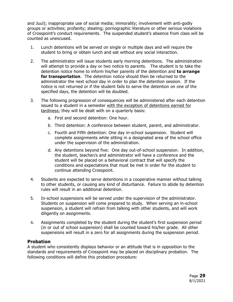and Juul); inappropriate use of social media; immorality; involvement with anti-godly groups or activities; profanity; stealing; pornographic literature or other serious violations of Crosspoint's conduct requirements. The suspended student's absence from class will be counted as unexcused.

- 1. Lunch detentions will be served on single or multiple days and will require the student to bring or obtain lunch and eat without any social interaction.
- 2. The administrator will issue students early morning detentions. The administration will attempt to provide a day or two notice to parents. The student is to take the detention notice home to inform his/her parents of the detention and **to arrange for transportation**. The detention notice should then be returned to the administrator the next school day in order to plan the detention session. If the notice is not returned or if the student fails to serve the detention on one of the specified days, the detention will be doubled.
- 3. The following progression of consequences will be administered after each detention issued to a student in a semester with the exception of detentions earned for tardiness; they will be dealt with on a quarterly basis:
	- a. First and second detention: One hour.
	- b. Third detention: A conference between student, parent, and administrator.
	- c. Fourth and Fifth detention: One day in-school suspension. Student will complete assignments while sitting in a designated area of the school office under the supervision of the administration.
	- d. Any detentions beyond five: One day out-of-school suspension. In addition, the student, teacher/s and administrator will have a conference and the student will be placed on a behavioral contract that will specify the conditions and expectations that must be met in order for the student to continue attending Crosspoint.
- 4. Students are expected to serve detentions in a cooperative manner without talking to other students, or causing any kind of disturbance. Failure to abide by detention rules will result in an additional detention.
- 5. In-school suspensions will be served under the supervision of the administrator. Students on suspension will come prepared to study. When serving an in-school suspension, a student will refrain from talking with other students, and will work diligently on assignments.
- 6. Assignments completed by the student during the student's first suspension period (in or out of school suspension) shall be counted toward his/her grade. All other suspensions will result in a zero for all assignments during the suspension period.

#### **Probation**

A student who consistently displays behavior or an attitude that is in opposition to the standards and requirements of Crosspoint may be placed on disciplinary probation. The following conditions will define this probation procedure: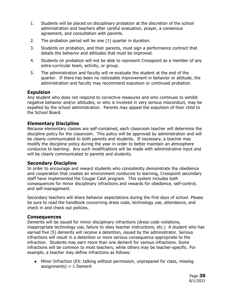- 1. Students will be placed on disciplinary probation at the discretion of the school administration and teachers after careful evaluation, prayer, a consensus agreement, and consultation with parents.
- 2. The probation period will be one (1) quarter in duration.
- 3. Students on probation, and their parents, must sign a performance contract that details the behavior and attitudes that must be improved.
- 4. Students on probation will not be able to represent Crosspoint as a member of any extra-curricular team, activity, or group.
- 5. The administration and faculty will re-evaluate the student at the end of the quarter. If there has been no noticeable improvement in behavior or attitude, the administration and faculty may recommend expulsion or continued probation.

#### **Expulsion**

Any student who does not respond to corrective measures and who continues to exhibit negative behavior and/or attitudes, or who is involved in very serious misconduct, may be expelled by the school administration. Parents may appeal the expulsion of their child to the School Board.

#### **Elementary Discipline**

Because elementary classes are self-contained, each classroom teacher will determine the discipline policy for the classroom. This policy will be approved by administration and will be clearly communicated to both parents and students. If necessary, a teacher may modify the discipline policy during the year in order to better maintain an atmosphere conducive to learning. Any such modifications will be made with administrative input and will be clearly communicated to parents and students.

#### **Secondary Discipline**

In order to encourage and reward students who consistently demonstrate the obedience and cooperation that creates an environment conducive to learning, Crosspoint secondary staff have implemented the Cougar Cash program. This system includes both consequences for minor disciplinary infractions and rewards for obedience, self-control, and self-management.

Secondary teachers will share behavior expectations during the first days of school. Please be sure to read the handbook concerning dress code, technology use, attendance, and check in and check out policies.

#### **Consequences**

Demerits will be issued for minor disciplinary infractions (dress code violations, inappropriate technology use, failure to obey teacher instructions, etc.) A student who has earned five (5) demerits will receive a detention, issued by the administrator. Serious infractions will result in a detention or more serious consequence appropriate to the infraction. Students may earn more than one demerit for various infractions. Some infractions will be common to most teachers, while others may be teacher-specific. For example, a teacher may define infractions as follows:

● Minor Infraction (EX: talking without permission, unprepared for class, missing  $assignments) = 1 Demerit$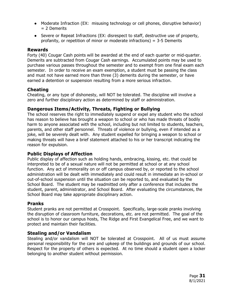- Moderate Infraction (EX: misusing technology or cell phones, disruptive behavior) = 2 Demerits
- Severe or Repeat Infractions (EX: disrespect to staff, destructive use of property, profanity, or repetition of minor or moderate infractions) = 3-5 Demerits

#### **Rewards**

Forty (40) Cougar Cash points will be awarded at the end of each quarter or mid-quarter. Demerits are subtracted from Cougar Cash earnings. Accumulated points may be used to purchase various passes throughout the semester and to exempt from one final exam each semester. In order to receive an exam exemption, a student must be passing the class and must not have earned more than three (3) demerits during the semester, or have earned a detention or suspension resulting from a more serious infraction.

#### **Cheating**

Cheating, or any type of dishonesty, will NOT be tolerated. The discipline will involve a zero and further disciplinary action as determined by staff or administration.

#### **Dangerous Items/Activity, Threats, Fighting or Bullying**

The school reserves the right to immediately suspend or expel any student who the school has reason to believe has brought a weapon to school or who has made threats of bodily harm to anyone associated with the school, including but not limited to students, teachers, parents, and other staff personnel. Threats of violence or bullying, even if intended as a joke, will be severely dealt with. Any student expelled for bringing a weapon to school or making threats will have a brief statement attached to his or her transcript indicating the reason for expulsion.

### **Public Displays of Affection**

Public display of affection such as holding hands, embracing, kissing, etc. that could be interpreted to be of a sexual nature will not be permitted at school or at any school function. Any act of immorality on or off campus observed by, or reported to the school administration will be dealt with immediately and could result in immediate an in-school or out-of-school suspension until the situation can be reported to, and evaluated by the School Board. The student may be readmitted only after a conference that includes the student, parent, administrator, and School Board. After evaluating the circumstances, the School Board may take appropriate disciplinary action.

#### **Pranks**

Student pranks are not permitted at Crosspoint. Specifically, large-scale pranks involving the disruption of classroom furniture, decorations, etc. are not permitted. The goal of the school is to honor our campus hosts, The Ridge and First Evangelical Free, and we want to protect and maintain their facilities.

#### **Stealing and/or Vandalism**

Stealing and/or vandalism will NOT be tolerated at Crosspoint. All of us must assume personal responsibility for the care and upkeep of the buildings and grounds of our school. Respect for the property of others is expected. At no time should a student open a locker belonging to another student without permission.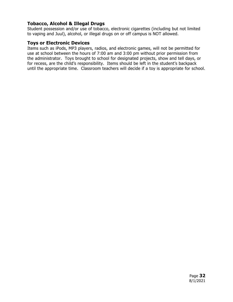## **Tobacco, Alcohol & Illegal Drugs**

Student possession and/or use of tobacco, electronic cigarettes (including but not limited to vaping and Juul), alcohol, or illegal drugs on or off campus is NOT allowed.

#### **Toys or Electronic Devices**

Items such as iPods, MP3 players, radios, and electronic games, will not be permitted for use at school between the hours of 7:00 am and 3:00 pm without prior permission from the administrator. Toys brought to school for designated projects, show and tell days, or for recess, are the child's responsibility. Items should be left in the student's backpack until the appropriate time. Classroom teachers will decide if a toy is appropriate for school.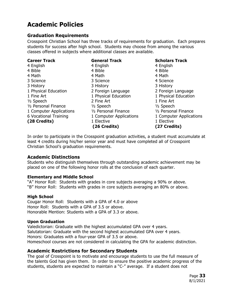# **Academic Policies**

#### **Graduation Requirements**

Crosspoint Christian School has three tracks of requirements for graduation. Each prepares students for success after high school. Students may choose from among the various classes offered in subjects where additional classes are available.

| <b>Career Track</b>     | <b>General Track</b>    | <b>Scholars Track</b>   |
|-------------------------|-------------------------|-------------------------|
| 4 English               | 4 English               | 4 English               |
| 4 Bible                 | 4 Bible                 | 4 Bible                 |
| 4 Math                  | 4 Math                  | 4 Math                  |
| 3 Science               | 3 Science               | 4 Science               |
| 3 History               | 3 History               | 3 History               |
| 1 Physical Education    | 2 Foreign Language      | 2 Foreign Language      |
| 1 Fine Art              | 1 Physical Education    | 1 Physical Education    |
| 1/ <sub>2</sub> Speech  | 2 Fine Art              | 1 Fine Art              |
| 1/2 Personal Finance    | $1/2$ Speech            | $1/2$ Speech            |
| 1 Computer Applications | 1/2 Personal Finance    | 1/2 Personal Finance    |
| 6 Vocational Training   | 1 Computer Applications | 1 Computer Applications |
| (28 Credits)            | 1 Elective              | 1 Elective              |
|                         | (26 Credits)            | (27 Credits)            |

In order to participate in the Crosspoint graduation activities, a student must accumulate at least 4 credits during his/her senior year and must have completed all of Crosspoint Christian School's graduation requirements.

#### **Academic Distinctions**

Students who distinguish themselves through outstanding academic achievement may be placed on one of the following honor rolls at the conclusion of each quarter.

#### **Elementary and Middle School**

"A" Honor Roll: Students with grades in core subjects averaging a 90% or above. "B" Honor Roll: Students with grades in core subjects averaging an 80% or above.

#### **High School**

Cougar Honor Roll: Students with a GPA of 4.0 or above Honor Roll: Students with a GPA of 3.5 or above. Honorable Mention: Students with a GPA of 3.3 or above.

#### **Upon Graduation**

Valedictorian: Graduate with the highest accumulated GPA over 4 years. Salutatorian: Graduate with the second highest accumulated GPA over 4 years. Honors: Graduates with a four-year GPA of 3.5 or above. Homeschool courses are not considered in calculating the GPA for academic distinction.

#### **Academic Restrictions for Secondary Students**

The goal of Crosspoint is to motivate and encourage students to use the full measure of the talents God has given them. In order to ensure the positive academic progress of the students, students are expected to maintain a "C-" average. If a student does not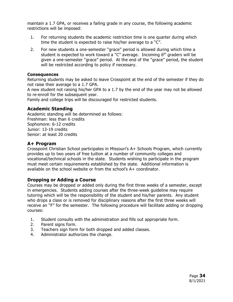maintain a 1.7 GPA, or receives a failing grade in any course, the following academic restrictions will be imposed:

- 1. For returning students the academic restriction time is one quarter during which time the student is expected to raise his/her average to a "C".
- 2. For new students a one-semester "grace" period is allowed during which time a student is expected to work toward a "C" average. Incoming  $6<sup>th</sup>$  graders will be given a one-semester "grace" period. At the end of the "grace" period, the student will be restricted according to policy if necessary.

#### **Consequences**

Returning students may be asked to leave Crosspoint at the end of the semester if they do not raise their average to a 1.7 GPA.

A new student not raising his/her GPA to a 1.7 by the end of the year may not be allowed to re-enroll for the subsequent year.

Family and college trips will be discouraged for restricted students.

#### **Academic Standing**

Academic standing will be determined as follows: Freshman: less than 6 credits Sophomore: 6-12 credits Junior: 13-19 credits Senior: at least 20 credits

#### **A+ Program**

Crosspoint Christian School participates in Missouri's A+ Schools Program, which currently provides up to two years of free tuition at a number of community colleges and vocational/technical schools in the state. Students wishing to participate in the program must meet certain requirements established by the state. Additional information is available on the school website or from the school's A+ coordinator.

#### **Dropping or Adding a Course**

Courses may be dropped or added only during the first three weeks of a semester, except in emergencies. Students adding courses after the three-week guideline may require tutoring which will be the responsibility of the student and his/her parents. Any student who drops a class or is removed for disciplinary reasons after the first three weeks will receive an "F" for the semester. The following procedure will facilitate adding or dropping courses:

- 1. Student consults with the administration and fills out appropriate form.
- 2. Parent signs form.
- 3. Teachers sign form for both dropped and added classes.
- 4. Administrator authorizes the change.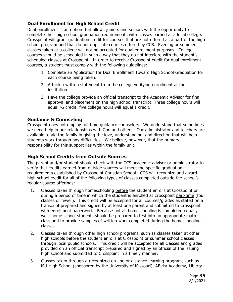# **Dual Enrollment for High School Credit**

Dual enrollment is an option that allows juniors and seniors with the opportunity to complete their high school graduation requirements with classes earned at a local college. Crosspoint will grant graduation credit for courses that are not offered as a part of the high school program and that do not duplicate courses offered by CCS. Evening or summer classes taken at a college will not be accepted for dual enrollment purposes. College courses should be scheduled in such a way that they do not interfere with the student's scheduled classes at Crosspoint. In order to receive Crosspoint credit for dual enrollment courses, a student must comply with the following guidelines:

- 1. Complete an Application for Dual Enrollment Toward High School Graduation for each course being taken.
- 2. Attach a written statement from the college verifying enrollment at the institution.
- 3. Have the college provide an official transcript to the Academic Advisor for final approval and placement on the high school transcript. Three college hours will equal ½ credit; five college hours will equal 1 credit.

## **Guidance & Counseling**

Crosspoint does not employ full-time guidance counselors. We understand that sometimes we need help in our relationships with God and others. Our administrator and teachers are available to aid the family in giving the love, understanding, and direction that will help students work through any difficulties. We believe, however, that the primary responsibility for this support lies within the family unit.

# **High School Credits from Outside Sources**

The parent and/or student should check with the CCS academic advisor or administrator to verify that credits earned from outside sources will meet the specific graduation requirements established by Crosspoint Christian School. CCS will recognize and award high school credit for all of the following types of classes completed outside the school's regular course offerings:

- 1. Classes taken through homeschooling before the student enrolls at Crosspoint or during a period of time in which the student is enrolled at Crosspoint part-time (four classes or fewer). This credit will be accepted for all courses/grades as stated on a transcript prepared and signed by at least one parent and submitted to Crosspoint with enrollment paperwork. Because not all homeschooling is completed equally well, home school students should be prepared to test into an appropriate math class and to provide samples of written work completed during the homeschooling classes.
- 2. Classes taken through other high school programs, such as classes taken at other high schools before the student enrolls at Crosspoint or summer school classes through local public schools. This credit will be accepted for all classes and grades provided on an official transcript prepared and signed by an official of the issuing high school and submitted to Crosspoint in a timely manner.
- 3. Classes taken through a recognized on-line or distance learning program, such as MU High School (sponsored by the University of Missouri), ABeka Academy, Liberty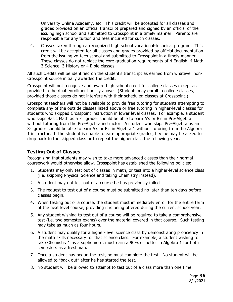University Online Academy, etc. This credit will be accepted for all classes and grades provided on an official transcript prepared and signed by an official of the issuing high school and submitted to Crosspoint in a timely manner. Parents are responsible for any tuition and fees incurred for such classes.

4. Classes taken through a recognized high school vocational-technical program. This credit will be accepted for all classes and grades provided by official documentation from the issuing vo-tech school and submitted to Crosspoint in a timely manner. These classes do not replace the core graduation requirements of 4 English, 4 Math, 3 Science, 3 History or 4 Bible classes.

All such credits will be identified on the student's transcript as earned from whatever non-Crosspoint source initially awarded the credit.

Crosspoint will not recognize and award high school credit for college classes except as provided in the dual enrollment policy above. (Students may enroll in college classes, provided those classes do not interfere with their scheduled classes at Crosspoint.)

Crosspoint teachers will not be available to provide free tutoring for students attempting to complete any of the outside classes listed above or free tutoring in higher-level classes for students who skipped Crosspoint instruction in lower level classes. For example, a student who skips Basic Math as a  $7<sup>th</sup>$  grader should be able to earn A's or B's in Pre-Algebra without tutoring from the Pre-Algebra instructor. A student who skips Pre-Algebra as an 8<sup>th</sup> grader should be able to earn A's or B's in Algebra 1 without tutoring from the Algebra 1 instructor. If the student is unable to earn appropriate grades, he/she may be asked to drop back to the skipped class or to repeat the higher class the following year.

# **Testing Out of Classes**

Recognizing that students may wish to take more advanced classes than their normal coursework would otherwise allow, Crosspoint has established the following policies:

- 1. Students may only test out of classes in math, or test into a higher-level science class (i.e. skipping Physical Science and taking Chemistry instead).
- 2. A student may not test out of a course he has previously failed.
- 3. The request to test out of a course must be submitted no later than ten days before classes begin.
- 4. When testing out of a course, the student must immediately enroll for the entire term of the next level course, providing it is being offered during the current school year.
- 5. Any student wishing to test out of a course will be required to take a comprehensive test (i.e. two semester exams) over the material covered in that course. Such testing may take as much as four hours.
- 6. A student may qualify for a higher-level science class by demonstrating proficiency in the math skills necessary for that science class. For example, a student wishing to take Chemistry 1 as a sophomore, must earn a 90% or better in Algebra 1 for both semesters as a freshman.
- 7. Once a student has begun the test, he must complete the test. No student will be allowed to "back out" after he has started the test.
- 8. No student will be allowed to attempt to test out of a class more than one time.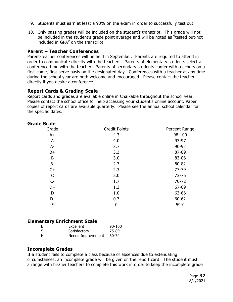- 9. Students must earn at least a 90% on the exam in order to successfully test out.
- 10. Only passing grades will be included on the student's transcript. This grade will not be included in the student's grade point average and will be noted as "tested out-not included in GPA" on the transcript.

#### **Parent – Teacher Conferences**

Parent-teacher conferences will be held in September. Parents are required to attend in order to communicate directly with the teachers. Parents of elementary students select a conference time with the teacher. Parents of secondary students confer with teachers on a first-come, first-serve basis on the designated day. Conferences with a teacher at any time during the school year are both welcome and encouraged. Please contact the teacher directly if you desire a conference.

#### **Report Cards & Grading Scale**

Report cards and grades are available online in Chalkable throughout the school year. Please contact the school office for help accessing your student's online account. Paper copies of report cards are available quarterly. Please see the annual school calendar for the specific dates.

#### **Grade Scale**

| Grade        | <b>Credit Points</b> | Percent Range |
|--------------|----------------------|---------------|
| $A+$         | 4.3                  | 98-100        |
| A            | 4.0                  | 93-97         |
| $A -$        | 3.7                  | 90-92         |
| $B+$         | 3.3                  | 87-89         |
| B            | 3.0                  | 83-86         |
| <b>B-</b>    | 2.7                  | 80-82         |
| $C+$         | 2.3                  | 77-79         |
| $\mathsf{C}$ | 2.0                  | 73-76         |
| $C-$         | 1.7                  | 70-72         |
| D+           | 1.3                  | 67-69         |
| D            | 1.0                  | 63-66         |
| D-           | 0.7                  | 60-62         |
| F            | 0                    | $59-0$        |
|              |                      |               |

#### **Elementary Enrichment Scale**

|   | Excellent         | $90 - 100$ |
|---|-------------------|------------|
|   | Satisfactory      | 75-89      |
| N | Needs Improvement | 60-74      |

#### **Incomplete Grades**

If a student fails to complete a class because of absences due to extenuating circumstances, an incomplete grade will be given on the report card. The student must arrange with his/her teachers to complete this work in order to keep the incomplete grade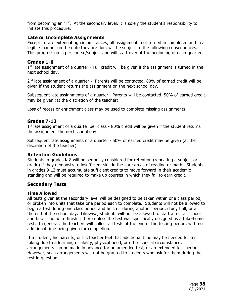from becoming an "F". At the secondary level, it is solely the student's responsibility to initiate this procedure.

#### **Late or Incomplete Assignments**

Except in rare extenuating circumstances, all assignments not turned in completed and in a legible manner on the date they are due, will be subject to the following consequences. This progression is per course/subject and will start over at the beginning of each quarter.

#### **Grades 1-6**

 $1<sup>st</sup>$  late assignment of a quarter - Full credit will be given if the assignment is turned in the next school day.

 $2<sup>nd</sup>$  late assignment of a quarter - Parents will be contacted. 80% of earned credit will be given if the student returns the assignment on the next school day.

Subsequent late assignments of a quarter - Parents will be contacted. 50% of earned credit may be given (at the discretion of the teacher).

Loss of recess or enrichment class may be used to complete missing assignments.

#### **Grades 7-12**

 $1<sup>st</sup>$  late assignment of a quarter per class - 80% credit will be given if the student returns the assignment the next school day.

Subsequent late assignments of a quarter - 50% of earned credit may be given (at the discretion of the teacher).

#### **Retention Guidelines**

Students in grades K-8 will be seriously considered for retention (repeating a subject or grade) if they demonstrate insufficient skill in the core areas of reading or math. Students in grades 9-12 must accumulate sufficient credits to move forward in their academic standing and will be required to make up courses in which they fail to earn credit.

#### **Secondary Tests**

#### **Time Allowed**

All tests given at the secondary level will be designed to be taken within one class period, or broken into units that take one period each to complete. Students will not be allowed to begin a test during one class period and finish it during another period, study hall, or at the end of the school day. Likewise, students will not be allowed to start a test at school and take it home to finish it there unless the test was specifically designed as a take-home test. In general, the teachers will collect all tests at the end of the testing period, with no additional time being given for completion.

If a student, his parents, or his teacher feel that additional time may be needed for test taking due to a learning disability, physical need, or other special circumstance; arrangements can be made in advance for an amended test, or an extended test period. However, such arrangements will not be granted to students who ask for them during the test in question.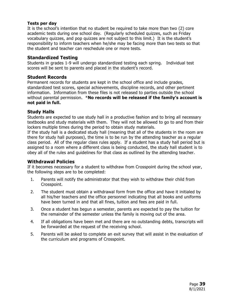#### **Tests per day**

It is the school's intention that no student be required to take more than two (2) core academic tests during one school day. (Regularly scheduled quizzes, such as Friday vocabulary quizzes, and pop quizzes are not subject to this limit.) It is the student's responsibility to inform teachers when he/she may be facing more than two tests so that the student and teacher can reschedule one or more tests.

#### **Standardized Testing**

Students in grades 1-9 will undergo standardized testing each spring. Individual test scores will be sent to parents and placed in the student's record.

#### **Student Records**

Permanent records for students are kept in the school office and include grades, standardized test scores, special achievements, discipline records, and other pertinent information. Information from these files is not released to parties outside the school without parental permission. \***No records will be released if the family's account is not paid in full.** 

#### **Study Halls**

Students are expected to use study hall in a productive fashion and to bring all necessary textbooks and study materials with them. They will not be allowed to go to and from their lockers multiple times during the period to obtain study materials.

If the study hall is a dedicated study hall (meaning that all of the students in the room are there for study hall purposes), the time is to be run by the attending teacher as a regular class period. All of the regular class rules apply. If a student has a study hall period but is assigned to a room where a different class is being conducted, the study hall student is to obey all of the rules and guidelines for that class as outlined by the attending teacher.

#### **Withdrawal Policies**

If it becomes necessary for a student to withdraw from Crosspoint during the school year, the following steps are to be completed:

- 1. Parents will notify the administrator that they wish to withdraw their child from Crosspoint.
- 2. The student must obtain a withdrawal form from the office and have it initialed by all his/her teachers and the office personnel indicating that all books and uniforms have been turned in and that all fines, tuition and fees are paid in full.
- 3. Once a student has begun a semester, parents are expected to pay the tuition for the remainder of the semester unless the family is moving out of the area.
- 4. If all obligations have been met and there are no outstanding debts, transcripts will be forwarded at the request of the receiving school.
- 5. Parents will be asked to complete an exit survey that will assist in the evaluation of the curriculum and programs of Crosspoint.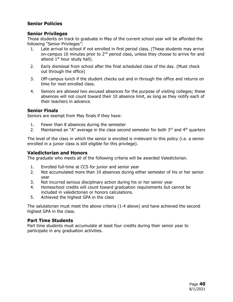# **Senior Policies**

#### **Senior Privileges**

Those students on track to graduate in May of the current school year will be afforded the following "Senior Privileges":

- 1. Late arrival to school if not enrolled in first period class. (These students may arrive on-campus 10 minutes prior to  $2<sup>nd</sup>$  period class, unless they choose to arrive for and attend  $1<sup>st</sup>$  hour study hall).
- 2. Early dismissal from school after the final scheduled class of the day. (Must check out through the office)
- 3. Off-campus lunch if the student checks out and in through the office and returns on time for next enrolled class.
- 4. Seniors are allowed two excused absences for the purpose of visiting colleges; these absences will not count toward their 10 absence limit, as long as they notify each of their teachers in advance.

#### **Senior Finals**

Seniors are exempt from May finals if they have:

- 1. Fewer than 8 absences during the semester
- 2. Maintained an "A" average in the class second semester for both  $3<sup>rd</sup>$  and  $4<sup>th</sup>$  quarters

The level of the class in which the senior is enrolled is irrelevant to this policy (i.e. a senior enrolled in a junior class is still eligible for this privilege).

#### **Valedictorian and Honors**

The graduate who meets all of the following criteria will be awarded Valedictorian.

- 1. Enrolled full-time at CCS for junior and senior year
- 2. Not accumulated more than 10 absences during either semester of his or her senior year
- 3. Not incurred serious disciplinary action during his or her senior year
- 4. Homeschool credits will count toward graduation requirements but cannot be included in valedictorian or honors calculations.
- 5. Achieved the highest GPA in the class

The salutatorian must meet the above criteria (1-4 above) and have achieved the second highest GPA in the class.

#### **Part Time Students**

Part time students must accumulate at least four credits during their senior year to participate in any graduation activities.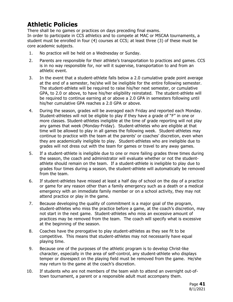# **Athletic Policies**

There shall be no games or practices on days preceding final exams. In order to participate in CCS athletics and to compete at MAC or MSCAA tournaments, a student must be enrolled in four (4) courses at CCS; at least three (3) of these must be core academic subjects.

- 1. No practice will be held on a Wednesday or Sunday.
- 2. Parents are responsible for their athlete's transportation to practices and games. CCS is in no way responsible for, nor will it supervise, transportation to and from an athletic event.
- 3. In the event that a student-athlete falls below a 2.0 cumulative grade point average at the end of a semester, he/she will be ineligible for the entire following semester. The student-athlete will be required to raise his/her next semester, or cumulative GPA, to 2.0 or above, to have his/her eligibility reinstated. The student-athlete will be required to continue earning at or above a 2.0 GPA in semesters following until his/her cumulative GPA reaches a 2.0 GPA or above.
- 4. During the season, grades will be averaged each Friday and reported each Monday. Student-athletes will not be eligible to play if they have a grade of "F" in one or more classes. Student-athletes ineligible at the time of grade reporting will not play any games that week (Monday-Friday). Student-athletes who are eligible at that time will be allowed to play in all games the following week. Student-athletes may continue to practice with the team at the parents' or coaches' discretion, even when they are academically ineligible to play. Student-athletes who are ineligible due to grades will not dress out with the team for games or travel to any away games.
- 5. If a student-athlete is ineligible due to one or more failing grades three times during the season, the coach and administrator will evaluate whether or not the studentathlete should remain on the team. If a student-athlete is ineligible to play due to grades four times during a season, the student-athlete will automatically be removed from the team.
- 6. If student-athletes have missed at least a half day of school on the day of a practice or game for any reason other than a family emergency such as a death or a medical emergency with an immediate family member or on a school activity, they may not attend practice or play in the game.
- 7. Because developing the quality of commitment is a major goal of the program, student-athletes who miss the practice before a game, at the coach's discretion, may not start in the next game. Student-athletes who miss an excessive amount of practices may be removed from the team. The coach will specify what is excessive at the beginning of the season.
- 8. Coaches have the prerogative to play student-athletes as they see fit to be competitive. This means that student-athletes may not necessarily have equal playing time.
- 9. Because one of the purposes of the athletic program is to develop Christ-like character, especially in the area of self-control, any student-athlete who displays temper or disrespect on the playing field must be removed from the game. He/she may return to the game at the coach's discretion.
- 10. If students who are not members of the team wish to attend an overnight out-oftown tournament, a parent or a responsible adult must accompany them.